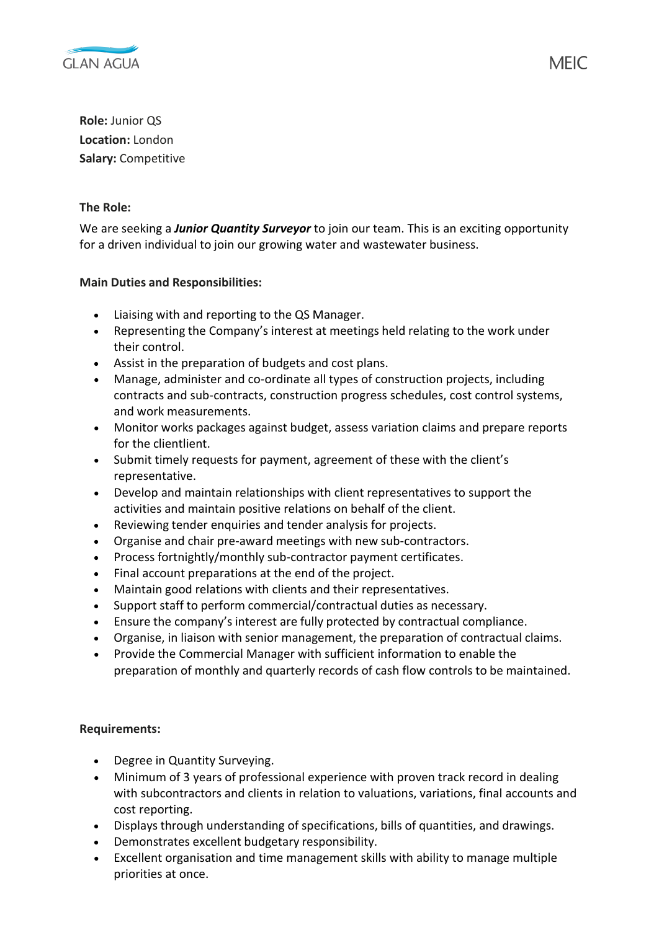

**Role:** Junior QS **Location:** London **Salary:** Competitive

## **The Role:**

We are seeking a *Junior Quantity Surveyor* to join our team. This is an exciting opportunity for a driven individual to join our growing water and wastewater business.

## **Main Duties and Responsibilities:**

- Liaising with and reporting to the QS Manager.
- Representing the Company's interest at meetings held relating to the work under their control.
- Assist in the preparation of budgets and cost plans.
- Manage, administer and co-ordinate all types of construction projects, including contracts and sub-contracts, construction progress schedules, cost control systems, and work measurements.
- Monitor works packages against budget, assess variation claims and prepare reports for the clientlient.
- Submit timely requests for payment, agreement of these with the client's representative.
- Develop and maintain relationships with client representatives to support the activities and maintain positive relations on behalf of the client.
- Reviewing tender enquiries and tender analysis for projects.
- Organise and chair pre-award meetings with new sub-contractors.
- Process fortnightly/monthly sub-contractor payment certificates.
- Final account preparations at the end of the project.
- Maintain good relations with clients and their representatives.
- Support staff to perform commercial/contractual duties as necessary.
- Ensure the company's interest are fully protected by contractual compliance.
- Organise, in liaison with senior management, the preparation of contractual claims.
- Provide the Commercial Manager with sufficient information to enable the preparation of monthly and quarterly records of cash flow controls to be maintained.

## **Requirements:**

- Degree in Quantity Surveying.
- Minimum of 3 years of professional experience with proven track record in dealing with subcontractors and clients in relation to valuations, variations, final accounts and cost reporting.
- Displays through understanding of specifications, bills of quantities, and drawings.
- Demonstrates excellent budgetary responsibility.
- Excellent organisation and time management skills with ability to manage multiple priorities at once.